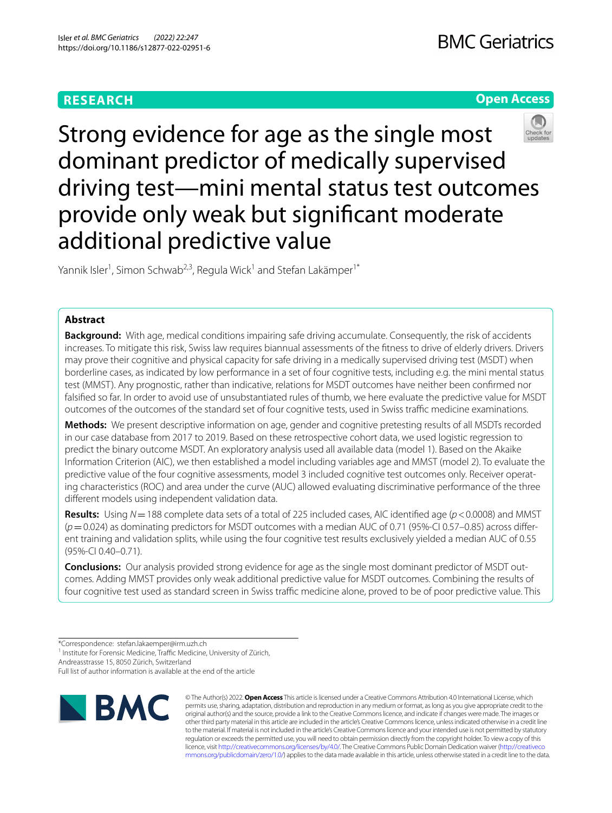# **RESEARCH**

# **Open Access**



Strong evidence for age as the single most dominant predictor of medically supervised driving test—mini mental status test outcomes provide only weak but signifcant moderate additional predictive value

Yannik Isler<sup>1</sup>, Simon Schwab<sup>2,3</sup>, Regula Wick<sup>1</sup> and Stefan Lakämper<sup>1\*</sup>

# **Abstract**

**Background:** With age, medical conditions impairing safe driving accumulate. Consequently, the risk of accidents increases. To mitigate this risk, Swiss law requires biannual assessments of the ftness to drive of elderly drivers. Drivers may prove their cognitive and physical capacity for safe driving in a medically supervised driving test (MSDT) when borderline cases, as indicated by low performance in a set of four cognitive tests, including e.g. the mini mental status test (MMST). Any prognostic, rather than indicative, relations for MSDT outcomes have neither been confrmed nor falsifed so far. In order to avoid use of unsubstantiated rules of thumb, we here evaluate the predictive value for MSDT outcomes of the outcomes of the standard set of four cognitive tests, used in Swiss traffic medicine examinations.

**Methods:** We present descriptive information on age, gender and cognitive pretesting results of all MSDTs recorded in our case database from 2017 to 2019. Based on these retrospective cohort data, we used logistic regression to predict the binary outcome MSDT. An exploratory analysis used all available data (model 1). Based on the Akaike Information Criterion (AIC), we then established a model including variables age and MMST (model 2). To evaluate the predictive value of the four cognitive assessments, model 3 included cognitive test outcomes only. Receiver operating characteristics (ROC) and area under the curve (AUC) allowed evaluating discriminative performance of the three diferent models using independent validation data.

**Results:** Using  $N = 188$  complete data sets of a total of 225 included cases, AIC identified age ( $p < 0.0008$ ) and MMST (*p*=0.024) as dominating predictors for MSDT outcomes with a median AUC of 0.71 (95%-CI 0.57–0.85) across diferent training and validation splits, while using the four cognitive test results exclusively yielded a median AUC of 0.55 (95%-CI 0.40–0.71).

**Conclusions:** Our analysis provided strong evidence for age as the single most dominant predictor of MSDT outcomes. Adding MMST provides only weak additional predictive value for MSDT outcomes. Combining the results of four cognitive test used as standard screen in Swiss traffic medicine alone, proved to be of poor predictive value. This

Andreasstrasse 15, 8050 Zürich, Switzerland

Full list of author information is available at the end of the article



© The Author(s) 2022. **Open Access** This article is licensed under a Creative Commons Attribution 4.0 International License, which permits use, sharing, adaptation, distribution and reproduction in any medium or format, as long as you give appropriate credit to the original author(s) and the source, provide a link to the Creative Commons licence, and indicate if changes were made. The images or other third party material in this article are included in the article's Creative Commons licence, unless indicated otherwise in a credit line to the material. If material is not included in the article's Creative Commons licence and your intended use is not permitted by statutory regulation or exceeds the permitted use, you will need to obtain permission directly from the copyright holder. To view a copy of this licence, visit [http://creativecommons.org/licenses/by/4.0/.](http://creativecommons.org/licenses/by/4.0/) The Creative Commons Public Domain Dedication waiver ([http://creativeco](http://creativecommons.org/publicdomain/zero/1.0/) [mmons.org/publicdomain/zero/1.0/](http://creativecommons.org/publicdomain/zero/1.0/)) applies to the data made available in this article, unless otherwise stated in a credit line to the data.

<sup>\*</sup>Correspondence: stefan.lakaemper@irm.uzh.ch

<sup>&</sup>lt;sup>1</sup> Institute for Forensic Medicine, Traffic Medicine, University of Zürich,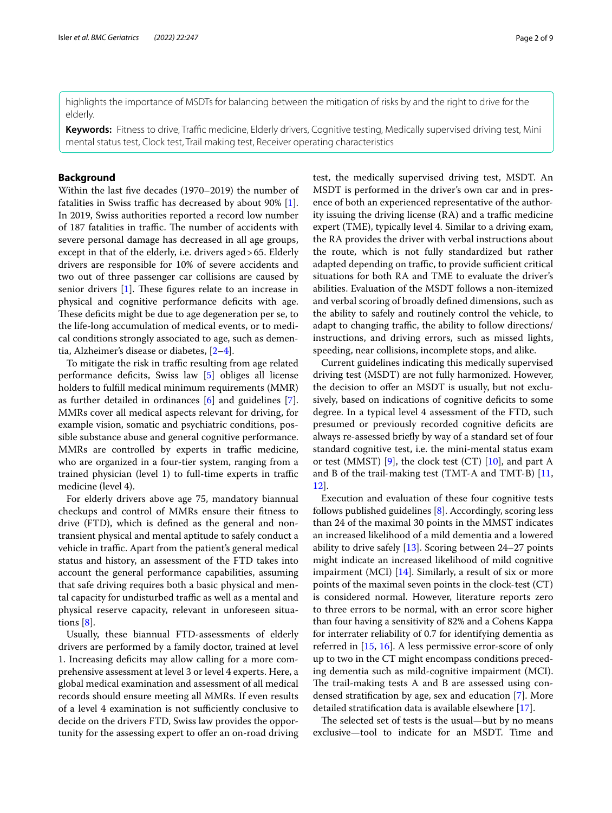highlights the importance of MSDTs for balancing between the mitigation of risks by and the right to drive for the elderly.

**Keywords:** Fitness to drive, Traffic medicine, Elderly drivers, Cognitive testing, Medically supervised driving test, Mini mental status test, Clock test, Trail making test, Receiver operating characteristics

# **Background**

Within the last fve decades (1970–2019) the number of fatalities in Swiss traffic has decreased by about  $90\%$  [\[1](#page-7-0)]. In 2019, Swiss authorities reported a record low number of 187 fatalities in traffic. The number of accidents with severe personal damage has decreased in all age groups, except in that of the elderly, i.e. drivers aged>65. Elderly drivers are responsible for 10% of severe accidents and two out of three passenger car collisions are caused by senior drivers  $[1]$  $[1]$ . These figures relate to an increase in physical and cognitive performance deficits with age. These deficits might be due to age degeneration per se, to the life-long accumulation of medical events, or to medical conditions strongly associated to age, such as dementia, Alzheimer's disease or diabetes, [[2–](#page-7-1)[4\]](#page-7-2).

To mitigate the risk in traffic resulting from age related performance defcits, Swiss law [\[5\]](#page-7-3) obliges all license holders to fulfll medical minimum requirements (MMR) as further detailed in ordinances [\[6](#page-7-4)] and guidelines [\[7](#page-7-5)]. MMRs cover all medical aspects relevant for driving, for example vision, somatic and psychiatric conditions, possible substance abuse and general cognitive performance. MMRs are controlled by experts in traffic medicine, who are organized in a four-tier system, ranging from a trained physician (level 1) to full-time experts in traffic medicine (level 4).

For elderly drivers above age 75, mandatory biannual checkups and control of MMRs ensure their ftness to drive (FTD), which is defned as the general and nontransient physical and mental aptitude to safely conduct a vehicle in traffic. Apart from the patient's general medical status and history, an assessment of the FTD takes into account the general performance capabilities, assuming that safe driving requires both a basic physical and mental capacity for undisturbed traffic as well as a mental and physical reserve capacity, relevant in unforeseen situations [\[8](#page-7-6)].

Usually, these biannual FTD-assessments of elderly drivers are performed by a family doctor, trained at level 1. Increasing deficits may allow calling for a more comprehensive assessment at level 3 or level 4 experts. Here, a global medical examination and assessment of all medical records should ensure meeting all MMRs. If even results of a level 4 examination is not sufficiently conclusive to decide on the drivers FTD, Swiss law provides the opportunity for the assessing expert to offer an on-road driving test, the medically supervised driving test, MSDT. An MSDT is performed in the driver's own car and in presence of both an experienced representative of the authority issuing the driving license  $(RA)$  and a traffic medicine expert (TME), typically level 4. Similar to a driving exam, the RA provides the driver with verbal instructions about the route, which is not fully standardized but rather adapted depending on traffic, to provide sufficient critical situations for both RA and TME to evaluate the driver's abilities. Evaluation of the MSDT follows a non-itemized and verbal scoring of broadly defned dimensions, such as the ability to safely and routinely control the vehicle, to adapt to changing traffic, the ability to follow directions/ instructions, and driving errors, such as missed lights, speeding, near collisions, incomplete stops, and alike.

Current guidelines indicating this medically supervised driving test (MSDT) are not fully harmonized. However, the decision to offer an MSDT is usually, but not exclusively, based on indications of cognitive deficits to some degree. In a typical level 4 assessment of the FTD, such presumed or previously recorded cognitive defcits are always re-assessed briefy by way of a standard set of four standard cognitive test, i.e. the mini-mental status exam or test (MMST) [\[9\]](#page-7-7), the clock test (CT) [\[10\]](#page-7-8), and part A and B of the trail-making test (TMT-A and TMT-B) [[11](#page-7-9), [12\]](#page-7-10).

Execution and evaluation of these four cognitive tests follows published guidelines [\[8](#page-7-6)]. Accordingly, scoring less than 24 of the maximal 30 points in the MMST indicates an increased likelihood of a mild dementia and a lowered ability to drive safely [\[13](#page-7-11)]. Scoring between 24–27 points might indicate an increased likelihood of mild cognitive impairment (MCI) [[14\]](#page-7-12). Similarly, a result of six or more points of the maximal seven points in the clock-test (CT) is considered normal. However, literature reports zero to three errors to be normal, with an error score higher than four having a sensitivity of 82% and a Cohens Kappa for interrater reliability of 0.7 for identifying dementia as referred in [[15](#page-7-13), [16](#page-7-14)]. A less permissive error-score of only up to two in the CT might encompass conditions preceding dementia such as mild-cognitive impairment (MCI). The trail-making tests A and B are assessed using condensed stratifcation by age, sex and education [[7\]](#page-7-5). More detailed stratifcation data is available elsewhere [[17\]](#page-7-15).

The selected set of tests is the usual—but by no means exclusive—tool to indicate for an MSDT. Time and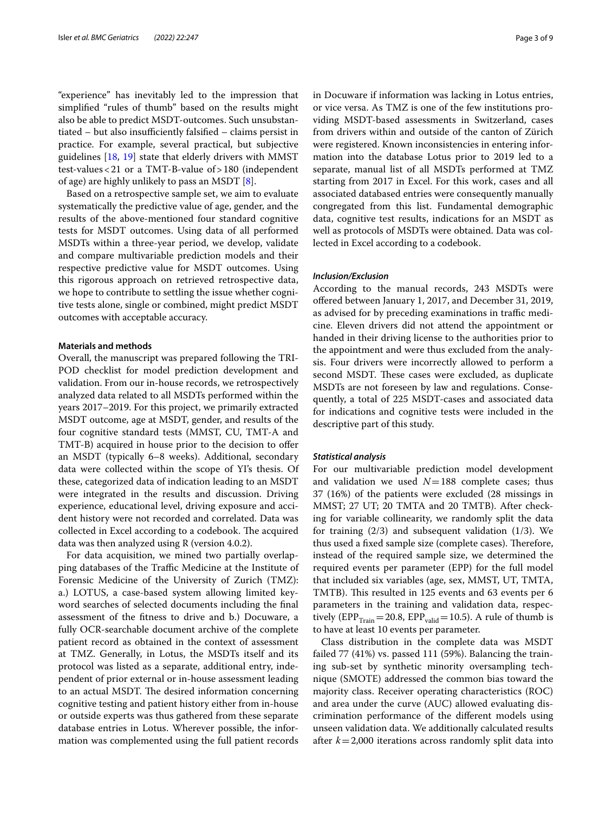"experience" has inevitably led to the impression that simplifed "rules of thumb" based on the results might also be able to predict MSDT-outcomes. Such unsubstan $tiated - but also insufficiently falsified - claims persist in$ practice. For example, several practical, but subjective guidelines [\[18](#page-8-0), [19](#page-8-1)] state that elderly drivers with MMST test-values<21 or a TMT-B-value of>180 (independent of age) are highly unlikely to pass an MSDT [\[8](#page-7-6)].

Based on a retrospective sample set, we aim to evaluate systematically the predictive value of age, gender, and the results of the above-mentioned four standard cognitive tests for MSDT outcomes. Using data of all performed MSDTs within a three-year period, we develop, validate and compare multivariable prediction models and their respective predictive value for MSDT outcomes. Using this rigorous approach on retrieved retrospective data, we hope to contribute to settling the issue whether cognitive tests alone, single or combined, might predict MSDT outcomes with acceptable accuracy.

# **Materials and methods**

Overall, the manuscript was prepared following the TRI-POD checklist for model prediction development and validation. From our in-house records, we retrospectively analyzed data related to all MSDTs performed within the years 2017–2019. For this project, we primarily extracted MSDT outcome, age at MSDT, gender, and results of the four cognitive standard tests (MMST, CU, TMT-A and TMT-B) acquired in house prior to the decision to ofer an MSDT (typically 6–8 weeks). Additional, secondary data were collected within the scope of YI's thesis. Of these, categorized data of indication leading to an MSDT were integrated in the results and discussion. Driving experience, educational level, driving exposure and accident history were not recorded and correlated. Data was collected in Excel according to a codebook. The acquired data was then analyzed using R (version 4.0.2).

For data acquisition, we mined two partially overlapping databases of the Traffic Medicine at the Institute of Forensic Medicine of the University of Zurich (TMZ): a.) LOTUS, a case-based system allowing limited keyword searches of selected documents including the fnal assessment of the ftness to drive and b.) Docuware, a fully OCR-searchable document archive of the complete patient record as obtained in the context of assessment at TMZ. Generally, in Lotus, the MSDTs itself and its protocol was listed as a separate, additional entry, independent of prior external or in-house assessment leading to an actual MSDT. The desired information concerning cognitive testing and patient history either from in-house or outside experts was thus gathered from these separate database entries in Lotus. Wherever possible, the information was complemented using the full patient records in Docuware if information was lacking in Lotus entries, or vice versa. As TMZ is one of the few institutions providing MSDT-based assessments in Switzerland, cases from drivers within and outside of the canton of Zürich were registered. Known inconsistencies in entering information into the database Lotus prior to 2019 led to a separate, manual list of all MSDTs performed at TMZ starting from 2017 in Excel. For this work, cases and all associated databased entries were consequently manually congregated from this list. Fundamental demographic data, cognitive test results, indications for an MSDT as well as protocols of MSDTs were obtained. Data was collected in Excel according to a codebook.

# *Inclusion/Exclusion*

According to the manual records, 243 MSDTs were ofered between January 1, 2017, and December 31, 2019, as advised for by preceding examinations in traffic medicine. Eleven drivers did not attend the appointment or handed in their driving license to the authorities prior to the appointment and were thus excluded from the analysis. Four drivers were incorrectly allowed to perform a second MSDT. These cases were excluded, as duplicate MSDTs are not foreseen by law and regulations. Consequently, a total of 225 MSDT-cases and associated data for indications and cognitive tests were included in the descriptive part of this study.

#### *Statistical analysis*

For our multivariable prediction model development and validation we used  $N=188$  complete cases; thus 37 (16%) of the patients were excluded (28 missings in MMST; 27 UT; 20 TMTA and 20 TMTB). After checking for variable collinearity, we randomly split the data for training  $(2/3)$  and subsequent validation  $(1/3)$ . We thus used a fixed sample size (complete cases). Therefore, instead of the required sample size, we determined the required events per parameter (EPP) for the full model that included six variables (age, sex, MMST, UT, TMTA, TMTB). This resulted in 125 events and 63 events per 6 parameters in the training and validation data, respectively (EPP $_{\text{Train}}$  = 20.8, EPP $_{\text{valid}}$  = 10.5). A rule of thumb is to have at least 10 events per parameter.

Class distribution in the complete data was MSDT failed 77 (41%) vs. passed 111 (59%). Balancing the training sub-set by synthetic minority oversampling technique (SMOTE) addressed the common bias toward the majority class. Receiver operating characteristics (ROC) and area under the curve (AUC) allowed evaluating discrimination performance of the diferent models using unseen validation data. We additionally calculated results after *k*=2,000 iterations across randomly split data into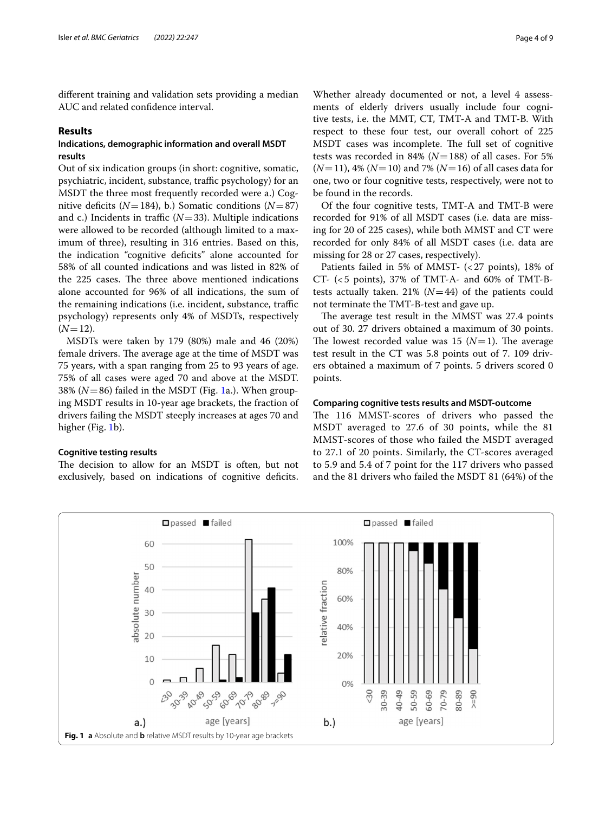diferent training and validation sets providing a median AUC and related confdence interval.

# **Results**

# **Indications, demographic information and overall MSDT results**

Out of six indication groups (in short: cognitive, somatic, psychiatric, incident, substance, traffic psychology) for an MSDT the three most frequently recorded were a.) Cognitive deficits  $(N=184)$ , b.) Somatic conditions  $(N=87)$ and c.) Incidents in traffic  $(N=33)$ . Multiple indications were allowed to be recorded (although limited to a maximum of three), resulting in 316 entries. Based on this, the indication "cognitive defcits" alone accounted for 58% of all counted indications and was listed in 82% of the 225 cases. The three above mentioned indications alone accounted for 96% of all indications, the sum of the remaining indications (i.e. incident, substance, traffic psychology) represents only 4% of MSDTs, respectively  $(N=12)$ .

MSDTs were taken by 179 (80%) male and 46 (20%) female drivers. The average age at the time of MSDT was 75 years, with a span ranging from 25 to 93 years of age. 75% of all cases were aged 70 and above at the MSDT. 38% (*N*=86) failed in the MSDT (Fig. [1a](#page-3-0).). When grouping MSDT results in 10-year age brackets, the fraction of drivers failing the MSDT steeply increases at ages 70 and higher (Fig. [1b](#page-3-0)).

# **Cognitive testing results**

The decision to allow for an MSDT is often, but not exclusively, based on indications of cognitive deficits.

Whether already documented or not, a level 4 assessments of elderly drivers usually include four cognitive tests, i.e. the MMT, CT, TMT-A and TMT-B. With respect to these four test, our overall cohort of 225 MSDT cases was incomplete. The full set of cognitive tests was recorded in 84% (*N*=188) of all cases. For 5% (*N*=11), 4% (*N*=10) and 7% (*N*=16) of all cases data for one, two or four cognitive tests, respectively, were not to be found in the records.

Of the four cognitive tests, TMT-A and TMT-B were recorded for 91% of all MSDT cases (i.e. data are missing for 20 of 225 cases), while both MMST and CT were recorded for only 84% of all MSDT cases (i.e. data are missing for 28 or 27 cases, respectively).

Patients failed in 5% of MMST- (<27 points), 18% of CT- (<5 points), 37% of TMT-A- and 60% of TMT-Btests actually taken. 21% ( $N=44$ ) of the patients could not terminate the TMT-B-test and gave up.

The average test result in the MMST was 27.4 points out of 30. 27 drivers obtained a maximum of 30 points. The lowest recorded value was 15  $(N=1)$ . The average test result in the CT was 5.8 points out of 7. 109 drivers obtained a maximum of 7 points. 5 drivers scored 0 points.

## **Comparing cognitive tests results and MSDT‑outcome**

The 116 MMST-scores of drivers who passed the MSDT averaged to 27.6 of 30 points, while the 81 MMST-scores of those who failed the MSDT averaged to 27.1 of 20 points. Similarly, the CT-scores averaged to 5.9 and 5.4 of 7 point for the 117 drivers who passed and the 81 drivers who failed the MSDT 81 (64%) of the

<span id="page-3-0"></span>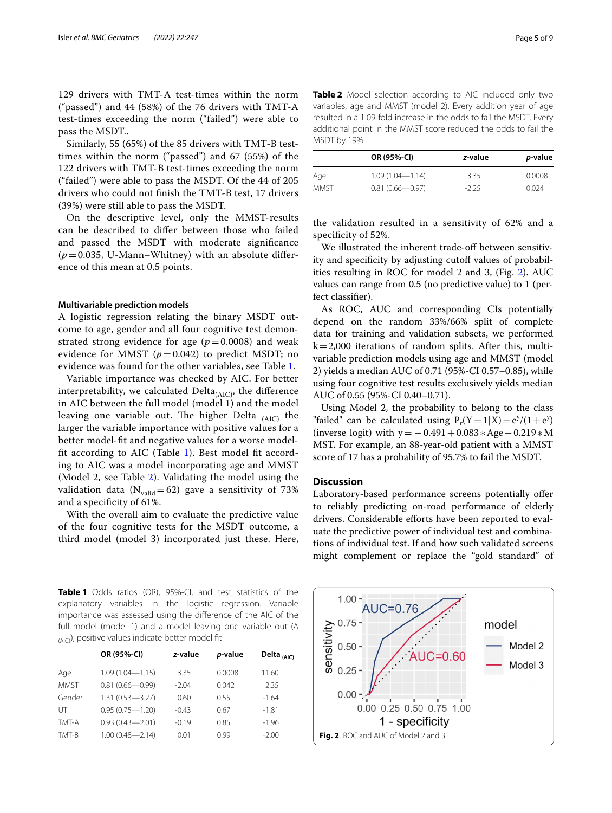129 drivers with TMT-A test-times within the norm ("passed") and 44 (58%) of the 76 drivers with TMT-A test-times exceeding the norm ("failed") were able to pass the MSDT..

Similarly, 55 (65%) of the 85 drivers with TMT-B testtimes within the norm ("passed") and 67 (55%) of the 122 drivers with TMT-B test-times exceeding the norm ("failed") were able to pass the MSDT. Of the 44 of 205 drivers who could not fnish the TMT-B test, 17 drivers (39%) were still able to pass the MSDT.

On the descriptive level, only the MMST-results can be described to difer between those who failed and passed the MSDT with moderate signifcance  $(p=0.035, U-Mann-Whitney)$  with an absolute difference of this mean at 0.5 points.

# **Multivariable prediction models**

A logistic regression relating the binary MSDT outcome to age, gender and all four cognitive test demonstrated strong evidence for age  $(p=0.0008)$  and weak evidence for MMST  $(p=0.042)$  to predict MSDT; no evidence was found for the other variables, see Table [1.](#page-4-0)

Variable importance was checked by AIC. For better interpretability, we calculated Delta $_{(AIC)}$ , the difference in AIC between the full model (model 1) and the model leaving one variable out. The higher Delta  $_{(AIC)}$  the larger the variable importance with positive values for a better model-ft and negative values for a worse model-fit according to AIC (Table [1\)](#page-4-0). Best model fit according to AIC was a model incorporating age and MMST (Model 2, see Table [2](#page-4-1)). Validating the model using the validation data ( $N_{\text{valid}}=62$ ) gave a sensitivity of 73% and a specifcity of 61%.

With the overall aim to evaluate the predictive value of the four cognitive tests for the MSDT outcome, a third model (model 3) incorporated just these. Here,

<span id="page-4-0"></span>**Table 1** Odds ratios (OR), 95%-CI, and test statistics of the explanatory variables in the logistic regression. Variable importance was assessed using the diference of the AIC of the full model (model 1) and a model leaving one variable out (∆  $_{(A|C)}$ ); positive values indicate better model fit

|             | OR (95%-CI)         | z-value | p-value | Delta <sub>(AIC)</sub> |
|-------------|---------------------|---------|---------|------------------------|
| Age         | $1.09(1.04 - 1.15)$ | 3.35    | 0.0008  | 11.60                  |
| <b>MMST</b> | $0.81(0.66 - 0.99)$ | $-204$  | 0.042   | 2.35                   |
| Gender      | $1.31(0.53 - 3.27)$ | 0.60    | 0.55    | $-1.64$                |
| UТ          | $0.95(0.75 - 1.20)$ | $-0.43$ | 0.67    | $-1.81$                |
| TMT-A       | $0.93(0.43 - 2.01)$ | $-0.19$ | 0.85    | $-1.96$                |
| TMT-B       | $1.00(0.48 - 2.14)$ | 0.01    | 0.99    | $-2.00$                |

<span id="page-4-1"></span>

| Table 2 Model selection according to AIC included only two           |
|----------------------------------------------------------------------|
| variables, age and MMST (model 2). Every addition year of age        |
| resulted in a 1.09-fold increase in the odds to fail the MSDT. Every |
| additional point in the MMST score reduced the odds to fail the      |
| MSDT by 19%                                                          |

|       | OR (95%-CI)         | z-value | <i>p</i> -value |
|-------|---------------------|---------|-----------------|
| Age   | $1.09(1.04 - 1.14)$ | 3.35    | 0.0008          |
| MMST. | $0.81(0.66 - 0.97)$ | $-225$  | 0.024           |

the validation resulted in a sensitivity of 62% and a specificity of 52%.

We illustrated the inherent trade-off between sensitivity and specificity by adjusting cutoff values of probabilities resulting in ROC for model 2 and 3, (Fig. [2\)](#page-4-2). AUC values can range from 0.5 (no predictive value) to 1 (perfect classifer).

As ROC, AUC and corresponding CIs potentially depend on the random 33%/66% split of complete data for training and validation subsets, we performed  $k=2,000$  iterations of random splits. After this, multivariable prediction models using age and MMST (model 2) yields a median AUC of 0.71 (95%-CI 0.57–0.85), while using four cognitive test results exclusively yields median AUC of 0.55 (95%-CI 0.40–0.71).

Using Model 2, the probability to belong to the class "failed" can be calculated using  $P_r(Y=1|X) = e^{y}/(1+e^{y})$ (inverse logit) with y =  $-0.491 + 0.083 * Age - 0.219 * M$ MST. For example, an 88-year-old patient with a MMST score of 17 has a probability of 95.7% to fail the MSDT.

# **Discussion**

Laboratory-based performance screens potentially offer to reliably predicting on-road performance of elderly drivers. Considerable efforts have been reported to evaluate the predictive power of individual test and combinations of individual test. If and how such validated screens might complement or replace the "gold standard" of

<span id="page-4-2"></span>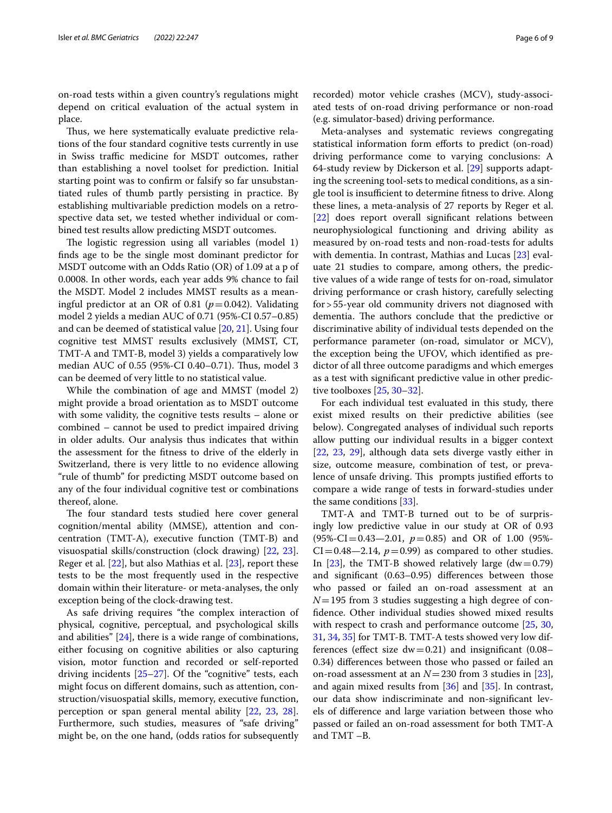on-road tests within a given country's regulations might depend on critical evaluation of the actual system in place.

Thus, we here systematically evaluate predictive relations of the four standard cognitive tests currently in use in Swiss traffic medicine for MSDT outcomes, rather than establishing a novel toolset for prediction. Initial starting point was to confrm or falsify so far unsubstantiated rules of thumb partly persisting in practice. By establishing multivariable prediction models on a retrospective data set, we tested whether individual or combined test results allow predicting MSDT outcomes.

The logistic regression using all variables (model 1) fnds age to be the single most dominant predictor for MSDT outcome with an Odds Ratio (OR) of 1.09 at a p of 0.0008. In other words, each year adds 9% chance to fail the MSDT. Model 2 includes MMST results as a meaningful predictor at an OR of 0.81 ( $p=0.042$ ). Validating model 2 yields a median AUC of 0.71 (95%-CI 0.57–0.85) and can be deemed of statistical value [[20](#page-8-2), [21\]](#page-8-3). Using four cognitive test MMST results exclusively (MMST, CT, TMT-A and TMT-B, model 3) yields a comparatively low median AUC of 0.55 (95%-CI 0.40–0.71). Thus, model 3 can be deemed of very little to no statistical value.

While the combination of age and MMST (model 2) might provide a broad orientation as to MSDT outcome with some validity, the cognitive tests results – alone or combined – cannot be used to predict impaired driving in older adults. Our analysis thus indicates that within the assessment for the ftness to drive of the elderly in Switzerland, there is very little to no evidence allowing "rule of thumb" for predicting MSDT outcome based on any of the four individual cognitive test or combinations thereof, alone.

The four standard tests studied here cover general cognition/mental ability (MMSE), attention and concentration (TMT-A), executive function (TMT-B) and visuospatial skills/construction (clock drawing) [[22](#page-8-4), [23](#page-8-5)]. Reger et al. [\[22](#page-8-4)], but also Mathias et al. [[23\]](#page-8-5), report these tests to be the most frequently used in the respective domain within their literature- or meta-analyses, the only exception being of the clock-drawing test.

As safe driving requires "the complex interaction of physical, cognitive, perceptual, and psychological skills and abilities" [[24\]](#page-8-6), there is a wide range of combinations, either focusing on cognitive abilities or also capturing vision, motor function and recorded or self-reported driving incidents [[25–](#page-8-7)[27](#page-8-8)]. Of the "cognitive" tests, each might focus on diferent domains, such as attention, construction/visuospatial skills, memory, executive function, perception or span general mental ability [\[22](#page-8-4), [23,](#page-8-5) [28](#page-8-9)]. Furthermore, such studies, measures of "safe driving" might be, on the one hand, (odds ratios for subsequently recorded) motor vehicle crashes (MCV), study-associated tests of on-road driving performance or non-road (e.g. simulator-based) driving performance.

Meta-analyses and systematic reviews congregating statistical information form eforts to predict (on-road) driving performance come to varying conclusions: A 64-study review by Dickerson et al. [\[29](#page-8-10)] supports adapting the screening tool-sets to medical conditions, as a single tool is insufficient to determine fitness to drive. Along these lines, a meta-analysis of 27 reports by Reger et al. [[22\]](#page-8-4) does report overall signifcant relations between neurophysiological functioning and driving ability as measured by on-road tests and non-road-tests for adults with dementia. In contrast, Mathias and Lucas [[23\]](#page-8-5) evaluate 21 studies to compare, among others, the predictive values of a wide range of tests for on-road, simulator driving performance or crash history, carefully selecting for>55-year old community drivers not diagnosed with dementia. The authors conclude that the predictive or discriminative ability of individual tests depended on the performance parameter (on-road, simulator or MCV), the exception being the UFOV, which identifed as predictor of all three outcome paradigms and which emerges as a test with signifcant predictive value in other predictive toolboxes [[25,](#page-8-7) [30](#page-8-11)–[32\]](#page-8-12).

For each individual test evaluated in this study, there exist mixed results on their predictive abilities (see below). Congregated analyses of individual such reports allow putting our individual results in a bigger context [[22,](#page-8-4) [23,](#page-8-5) [29](#page-8-10)], although data sets diverge vastly either in size, outcome measure, combination of test, or prevalence of unsafe driving. This prompts justified efforts to compare a wide range of tests in forward-studies under the same conditions [[33\]](#page-8-13).

TMT-A and TMT-B turned out to be of surprisingly low predictive value in our study at OR of 0.93 (95%-CI=0.43—2.01, *p*=0.85) and OR of 1.00 (95%-  $CI = 0.48 - 2.14$ ,  $p = 0.99$ ) as compared to other studies. In  $[23]$  $[23]$ , the TMT-B showed relatively large  $(dw=0.79)$ and signifcant (0.63–0.95) diferences between those who passed or failed an on-road assessment at an *N*=195 from 3 studies suggesting a high degree of confdence. Other individual studies showed mixed results with respect to crash and performance outcome [\[25](#page-8-7), [30](#page-8-11), [31,](#page-8-14) [34,](#page-8-15) [35](#page-8-16)] for TMT-B. TMT-A tests showed very low differences (effect size  $dw = 0.21$ ) and insignificant (0.08– 0.34) diferences between those who passed or failed an on-road assessment at an  $N=230$  from 3 studies in [\[23](#page-8-5)], and again mixed results from [\[36\]](#page-8-17) and [\[35\]](#page-8-16). In contrast, our data show indiscriminate and non-signifcant levels of diference and large variation between those who passed or failed an on-road assessment for both TMT-A and TMT –B.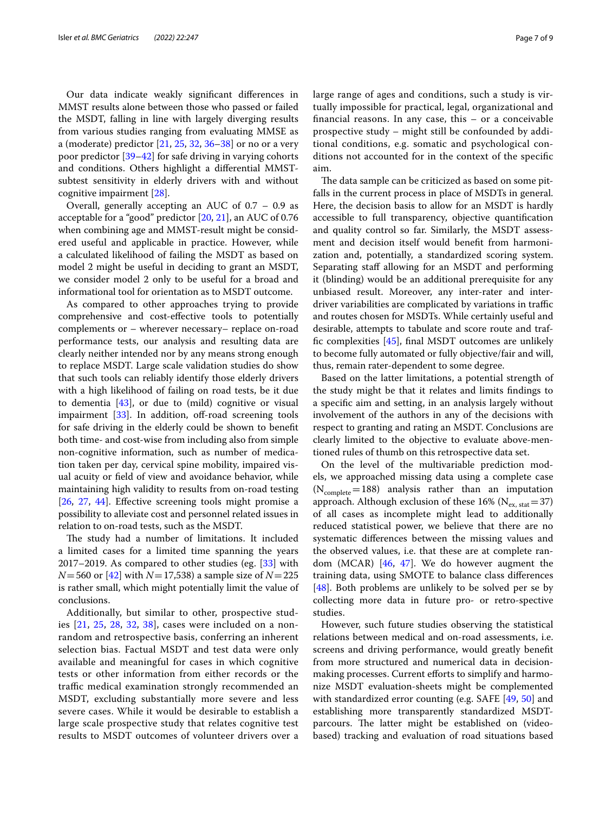Our data indicate weakly signifcant diferences in MMST results alone between those who passed or failed the MSDT, falling in line with largely diverging results from various studies ranging from evaluating MMSE as a (moderate) predictor [\[21](#page-8-3), [25,](#page-8-7) [32](#page-8-12), [36–](#page-8-17)[38\]](#page-8-18) or no or a very poor predictor [[39–](#page-8-19)[42\]](#page-8-20) for safe driving in varying cohorts and conditions. Others highlight a diferential MMSTsubtest sensitivity in elderly drivers with and without cognitive impairment [\[28\]](#page-8-9).

Overall, generally accepting an AUC of 0.7 – 0.9 as acceptable for a "good" predictor [[20,](#page-8-2) [21](#page-8-3)], an AUC of 0.76 when combining age and MMST-result might be considered useful and applicable in practice. However, while a calculated likelihood of failing the MSDT as based on model 2 might be useful in deciding to grant an MSDT, we consider model 2 only to be useful for a broad and informational tool for orientation as to MSDT outcome.

As compared to other approaches trying to provide comprehensive and cost-efective tools to potentially complements or – wherever necessary– replace on-road performance tests, our analysis and resulting data are clearly neither intended nor by any means strong enough to replace MSDT. Large scale validation studies do show that such tools can reliably identify those elderly drivers with a high likelihood of failing on road tests, be it due to dementia [[43\]](#page-8-21), or due to (mild) cognitive or visual impairment  $[33]$ . In addition, off-road screening tools for safe driving in the elderly could be shown to beneft both time- and cost-wise from including also from simple non-cognitive information, such as number of medication taken per day, cervical spine mobility, impaired visual acuity or feld of view and avoidance behavior, while maintaining high validity to results from on-road testing [[26,](#page-8-22) [27](#page-8-8), [44\]](#page-8-23). Efective screening tools might promise a possibility to alleviate cost and personnel related issues in relation to on-road tests, such as the MSDT.

The study had a number of limitations. It included a limited cases for a limited time spanning the years 2017–2019. As compared to other studies (eg. [[33\]](#page-8-13) with *N*=560 or [[42\]](#page-8-20) with *N*=17,538) a sample size of *N*=225 is rather small, which might potentially limit the value of conclusions.

Additionally, but similar to other, prospective studies [[21](#page-8-3), [25](#page-8-7), [28](#page-8-9), [32](#page-8-12), [38](#page-8-18)], cases were included on a nonrandom and retrospective basis, conferring an inherent selection bias. Factual MSDT and test data were only available and meaningful for cases in which cognitive tests or other information from either records or the traffic medical examination strongly recommended an MSDT, excluding substantially more severe and less severe cases. While it would be desirable to establish a large scale prospective study that relates cognitive test results to MSDT outcomes of volunteer drivers over a

large range of ages and conditions, such a study is virtually impossible for practical, legal, organizational and fnancial reasons. In any case, this – or a conceivable prospective study – might still be confounded by additional conditions, e.g. somatic and psychological conditions not accounted for in the context of the specifc aim.

The data sample can be criticized as based on some pitfalls in the current process in place of MSDTs in general. Here, the decision basis to allow for an MSDT is hardly accessible to full transparency, objective quantifcation and quality control so far. Similarly, the MSDT assessment and decision itself would beneft from harmonization and, potentially, a standardized scoring system. Separating staff allowing for an MSDT and performing it (blinding) would be an additional prerequisite for any unbiased result. Moreover, any inter-rater and interdriver variabilities are complicated by variations in traffic and routes chosen for MSDTs. While certainly useful and desirable, attempts to tabulate and score route and traffc complexities [\[45\]](#page-8-24), fnal MSDT outcomes are unlikely to become fully automated or fully objective/fair and will, thus, remain rater-dependent to some degree.

Based on the latter limitations, a potential strength of the study might be that it relates and limits fndings to a specifc aim and setting, in an analysis largely without involvement of the authors in any of the decisions with respect to granting and rating an MSDT. Conclusions are clearly limited to the objective to evaluate above-mentioned rules of thumb on this retrospective data set.

On the level of the multivariable prediction models, we approached missing data using a complete case  $(N_{\text{complete}}=188)$  analysis rather than an imputation approach. Although exclusion of these 16% ( $N_{ex, stat}=37$ ) of all cases as incomplete might lead to additionally reduced statistical power, we believe that there are no systematic diferences between the missing values and the observed values, i.e. that these are at complete random (MCAR) [\[46](#page-8-25), [47\]](#page-8-26). We do however augment the training data, using SMOTE to balance class diferences [[48\]](#page-8-27). Both problems are unlikely to be solved per se by collecting more data in future pro- or retro-spective studies.

However, such future studies observing the statistical relations between medical and on-road assessments, i.e. screens and driving performance, would greatly beneft from more structured and numerical data in decisionmaking processes. Current efforts to simplify and harmonize MSDT evaluation-sheets might be complemented with standardized error counting (e.g. SAFE [[49](#page-8-28), [50](#page-8-29)] and establishing more transparently standardized MSDTparcours. The latter might be established on (videobased) tracking and evaluation of road situations based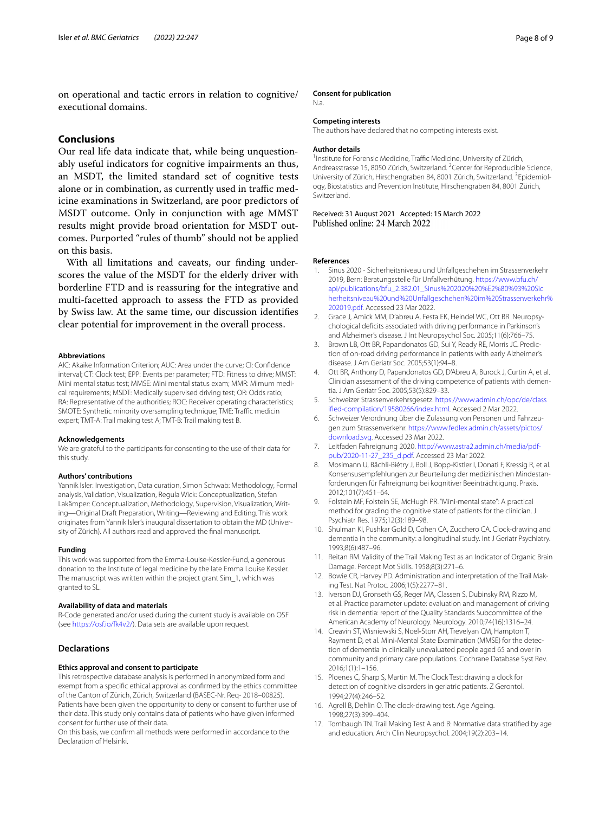on operational and tactic errors in relation to cognitive/ executional domains.

# **Conclusions**

Our real life data indicate that, while being unquestionably useful indicators for cognitive impairments an thus, an MSDT, the limited standard set of cognitive tests alone or in combination, as currently used in traffic medicine examinations in Switzerland, are poor predictors of MSDT outcome. Only in conjunction with age MMST results might provide broad orientation for MSDT outcomes. Purported "rules of thumb" should not be applied on this basis.

With all limitations and caveats, our fnding underscores the value of the MSDT for the elderly driver with borderline FTD and is reassuring for the integrative and multi-facetted approach to assess the FTD as provided by Swiss law. At the same time, our discussion identifes clear potential for improvement in the overall process.

# **Abbreviations**

AIC: Akaike Information Criterion; AUC: Area under the curve; CI: Confdence interval; CT: Clock test; EPP: Events per parameter; FTD: Fitness to drive; MMST: Mini mental status test; MMSE: Mini mental status exam; MMR: Mimum medical requirements; MSDT: Medically supervised driving test; OR: Odds ratio; RA: Representative of the authorities; ROC: Receiver operating characteristics; SMOTE: Synthetic minority oversampling technique; TME: Traffic medicin expert; TMT-A: Trail making test A; TMT-B: Trail making test B.

#### **Acknowledgements**

We are grateful to the participants for consenting to the use of their data for this study.

#### **Authors' contributions**

Yannik Isler: Investigation, Data curation, Simon Schwab: Methodology, Formal analysis, Validation, Visualization, Regula Wick: Conceptualization, Stefan Lakämper: Conceptualization, Methodology, Supervision, Visualization, Writing—Original Draft Preparation, Writing—Reviewing and Editing. This work originates from Yannik Isler's inaugural dissertation to obtain the MD (University of Zürich). All authors read and approved the fnal manuscript.

#### **Funding**

This work was supported from the Emma-Louise-Kessler-Fund, a generous donation to the Institute of legal medicine by the late Emma Louise Kessler. The manuscript was written within the project grant Sim\_1, which was granted to SL.

#### **Availability of data and materials**

R-Code generated and/or used during the current study is available on OSF (see<https://osf.io/fk4v2/>). Data sets are available upon request.

## **Declarations**

# **Ethics approval and consent to participate**

This retrospective database analysis is performed in anonymized form and exempt from a specifc ethical approval as confrmed by the ethics committee of the Canton of Zürich, Zürich, Switzerland (BASEC-Nr. Req- 2018–00825). Patients have been given the opportunity to deny or consent to further use of their data. This study only contains data of patients who have given informed consent for further use of their data.

On this basis, we confrm all methods were performed in accordance to the Declaration of Helsinki.

#### **Consent for publication**

N.a.

# **Competing interests**

The authors have declared that no competing interests exist.

## **Author details**

<sup>1</sup> Institute for Forensic Medicine, Traffic Medicine, University of Zürich, Andreasstrasse 15, 8050 Zürich, Switzerland. <sup>2</sup> Center for Reproducible Science, University of Zürich, Hirschengraben 84, 8001 Zürich, Switzerland. <sup>3</sup>Epidemiology, Biostatistics and Prevention Institute, Hirschengraben 84, 8001 Zürich, Switzerland.

# Received: 31 August 2021 Accepted: 15 March 2022<br>Published online: 24 March 2022

#### **References**

- <span id="page-7-0"></span>Sinus 2020 - Sicherheitsniveau und Unfallgeschehen im Strassenverkehr 2019, Bern: Beratungsstelle für Unfallverhütung. [https://www.bfu.ch/](https://www.bfu.ch/api/publications/bfu_2.382.01_Sinus%202020%20%E2%80%93%20Sicherheitsniveau%20und%20Unfallgeschehen%20im%20Strassenverkehr%202019.pdf) [api/publications/bfu\\_2.382.01\\_Sinus%202020%20%E2%80%93%20Sic](https://www.bfu.ch/api/publications/bfu_2.382.01_Sinus%202020%20%E2%80%93%20Sicherheitsniveau%20und%20Unfallgeschehen%20im%20Strassenverkehr%202019.pdf) [herheitsniveau%20und%20Unfallgeschehen%20im%20Strassenverkehr%](https://www.bfu.ch/api/publications/bfu_2.382.01_Sinus%202020%20%E2%80%93%20Sicherheitsniveau%20und%20Unfallgeschehen%20im%20Strassenverkehr%202019.pdf) [202019.pdf.](https://www.bfu.ch/api/publications/bfu_2.382.01_Sinus%202020%20%E2%80%93%20Sicherheitsniveau%20und%20Unfallgeschehen%20im%20Strassenverkehr%202019.pdf) Accessed 23 Mar 2022.
- <span id="page-7-1"></span>2. Grace J, Amick MM, D'abreu A, Festa EK, Heindel WC, Ott BR. Neuropsychological defcits associated with driving performance in Parkinson's and Alzheimer's disease. J Int Neuropsychol Soc. 2005;11(6):766–75.
- 3. Brown LB, Ott BR, Papandonatos GD, Sui Y, Ready RE, Morris JC. Prediction of on-road driving performance in patients with early Alzheimer's disease. J Am Geriatr Soc. 2005;53(1):94–8.
- <span id="page-7-2"></span>4. Ott BR, Anthony D, Papandonatos GD, D'Abreu A, Burock J, Curtin A, et al. Clinician assessment of the driving competence of patients with dementia. J Am Geriatr Soc. 2005;53(5):829–33.
- <span id="page-7-3"></span>5. Schweizer Strassenverkehrsgesetz. [https://www.admin.ch/opc/de/class](https://www.admin.ch/opc/de/classified-compilation/19580266/index.html) [ifed-compilation/19580266/index.html](https://www.admin.ch/opc/de/classified-compilation/19580266/index.html). Accessed 2 Mar 2022.
- <span id="page-7-4"></span>6. Schweizer Verordnung über die Zulassung von Personen und Fahrzeugen zum Strassenverkehr. [https://www.fedlex.admin.ch/assets/pictos/](https://www.fedlex.admin.ch/assets/pictos/download.svg) [download.svg.](https://www.fedlex.admin.ch/assets/pictos/download.svg) Accessed 23 Mar 2022.
- <span id="page-7-5"></span>7. Leitfaden Fahreignung 2020. [http://www.astra2.admin.ch/media/pdf](http://www.astra2.admin.ch/media/pdfpub/2020-11-27_235_d.pdf)[pub/2020-11-27\\_235\\_d.pdf](http://www.astra2.admin.ch/media/pdfpub/2020-11-27_235_d.pdf). Accessed 23 Mar 2022.
- <span id="page-7-6"></span>8. Mosimann U, Bächli-Biétry J, Boll J, Bopp-Kistler I, Donati F, Kressig R, et al. Konsensusempfehlungen zur Beurteilung der medizinischen Mindestanforderungen für Fahreignung bei kognitiver Beeinträchtigung. Praxis. 2012;101(7):451–64.
- <span id="page-7-7"></span>9. Folstein MF, Folstein SE, McHugh PR. "Mini-mental state": A practical method for grading the cognitive state of patients for the clinician. J Psychiatr Res. 1975;12(3):189–98.
- <span id="page-7-8"></span>10. Shulman KI, Pushkar Gold D, Cohen CA, Zucchero CA. Clock-drawing and dementia in the community: a longitudinal study. Int J Geriatr Psychiatry. 1993;8(6):487–96.
- <span id="page-7-9"></span>11. Reitan RM. Validity of the Trail Making Test as an Indicator of Organic Brain Damage. Percept Mot Skills. 1958;8(3):271–6.
- <span id="page-7-10"></span>12. Bowie CR, Harvey PD. Administration and interpretation of the Trail Making Test. Nat Protoc. 2006;1(5):2277–81.
- <span id="page-7-11"></span>13. Iverson DJ, Gronseth GS, Reger MA, Classen S, Dubinsky RM, Rizzo M, et al. Practice parameter update: evaluation and management of driving risk in dementia: report of the Quality Standards Subcommittee of the American Academy of Neurology. Neurology. 2010;74(16):1316–24.
- <span id="page-7-12"></span>14. Creavin ST, Wisniewski S, Noel‐Storr AH, Trevelyan CM, Hampton T, Rayment D, et al. Mini‐Mental State Examination (MMSE) for the detection of dementia in clinically unevaluated people aged 65 and over in community and primary care populations. Cochrane Database Syst Rev. 2016;1(1):1–156.
- <span id="page-7-13"></span>15. Ploenes C, Sharp S, Martin M. The Clock Test: drawing a clock for detection of cognitive disorders in geriatric patients. Z Gerontol. 1994;27(4):246–52.
- <span id="page-7-14"></span>16. Agrell B, Dehlin O. The clock-drawing test. Age Ageing. 1998;27(3):399–404.
- <span id="page-7-15"></span>17. Tombaugh TN. Trail Making Test A and B: Normative data stratifed by age and education. Arch Clin Neuropsychol. 2004;19(2):203–14.